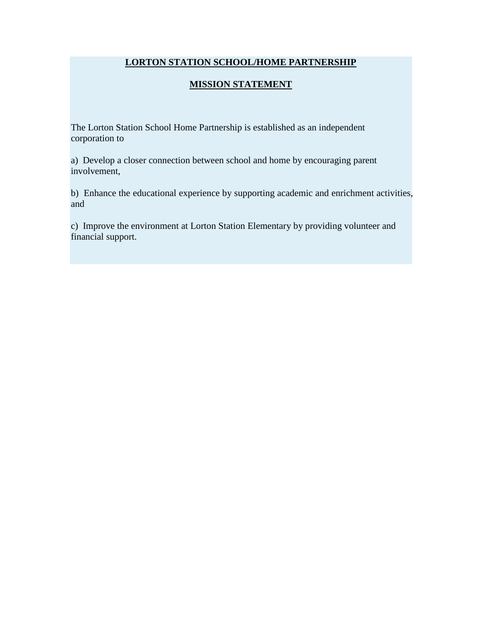## **LORTON STATION SCHOOL/HOME PARTNERSHIP**

## **MISSION STATEMENT**

The Lorton Station School Home Partnership is established as an independent corporation to

a) Develop a closer connection between school and home by encouraging parent involvement,

b) Enhance the educational experience by supporting academic and enrichment activities, and

c) Improve the environment at Lorton Station Elementary by providing volunteer and financial support.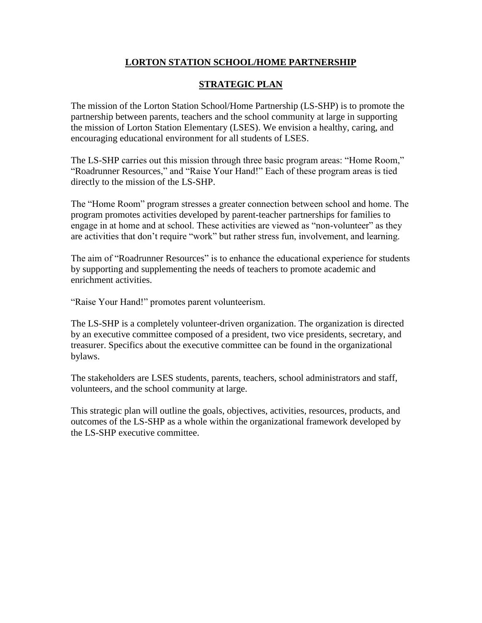## **LORTON STATION SCHOOL/HOME PARTNERSHIP**

## **STRATEGIC PLAN**

The mission of the Lorton Station School/Home Partnership (LS-SHP) is to promote the partnership between parents, teachers and the school community at large in supporting the mission of Lorton Station Elementary (LSES). We envision a healthy, caring, and encouraging educational environment for all students of LSES.

The LS-SHP carries out this mission through three basic program areas: "Home Room," "Roadrunner Resources," and "Raise Your Hand!" Each of these program areas is tied directly to the mission of the LS-SHP.

The "Home Room" program stresses a greater connection between school and home. The program promotes activities developed by parent-teacher partnerships for families to engage in at home and at school. These activities are viewed as "non-volunteer" as they are activities that don't require "work" but rather stress fun, involvement, and learning.

The aim of "Roadrunner Resources" is to enhance the educational experience for students by supporting and supplementing the needs of teachers to promote academic and enrichment activities.

"Raise Your Hand!" promotes parent volunteerism.

The LS-SHP is a completely volunteer-driven organization. The organization is directed by an executive committee composed of a president, two vice presidents, secretary, and treasurer. Specifics about the executive committee can be found in the organizational bylaws.

The stakeholders are LSES students, parents, teachers, school administrators and staff, volunteers, and the school community at large.

This strategic plan will outline the goals, objectives, activities, resources, products, and outcomes of the LS-SHP as a whole within the organizational framework developed by the LS-SHP executive committee.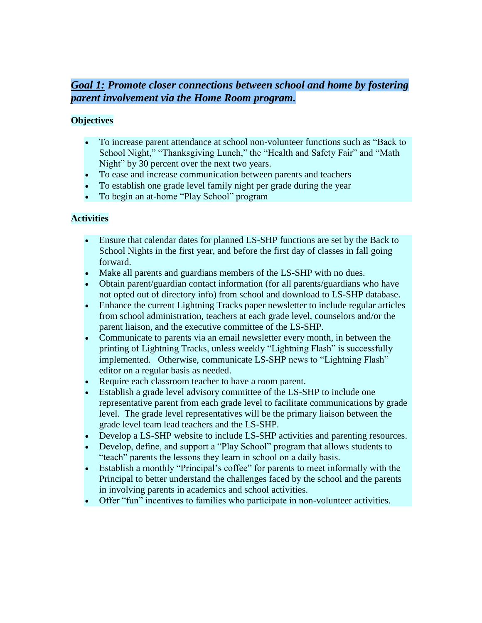# *Goal 1: Promote closer connections between school and home by fostering parent involvement via the Home Room program.*

## **Objectives**

- To increase parent attendance at school non-volunteer functions such as "Back to School Night," "Thanksgiving Lunch," the "Health and Safety Fair" and "Math Night" by 30 percent over the next two years.
- To ease and increase communication between parents and teachers
- To establish one grade level family night per grade during the year
- To begin an at-home "Play School" program

## **Activities**

- Ensure that calendar dates for planned LS-SHP functions are set by the Back to School Nights in the first year, and before the first day of classes in fall going forward.
- Make all parents and guardians members of the LS-SHP with no dues.
- Obtain parent/guardian contact information (for all parents/guardians who have not opted out of directory info) from school and download to LS-SHP database.
- Enhance the current Lightning Tracks paper newsletter to include regular articles from school administration, teachers at each grade level, counselors and/or the parent liaison, and the executive committee of the LS-SHP.
- Communicate to parents via an email newsletter every month, in between the printing of Lightning Tracks, unless weekly "Lightning Flash" is successfully implemented. Otherwise, communicate LS-SHP news to "Lightning Flash" editor on a regular basis as needed.
- Require each classroom teacher to have a room parent.
- Establish a grade level advisory committee of the LS-SHP to include one representative parent from each grade level to facilitate communications by grade level. The grade level representatives will be the primary liaison between the grade level team lead teachers and the LS-SHP.
- Develop a LS-SHP website to include LS-SHP activities and parenting resources.
- Develop, define, and support a "Play School" program that allows students to "teach" parents the lessons they learn in school on a daily basis.
- Establish a monthly "Principal's coffee" for parents to meet informally with the Principal to better understand the challenges faced by the school and the parents in involving parents in academics and school activities.
- Offer "fun" incentives to families who participate in non-volunteer activities.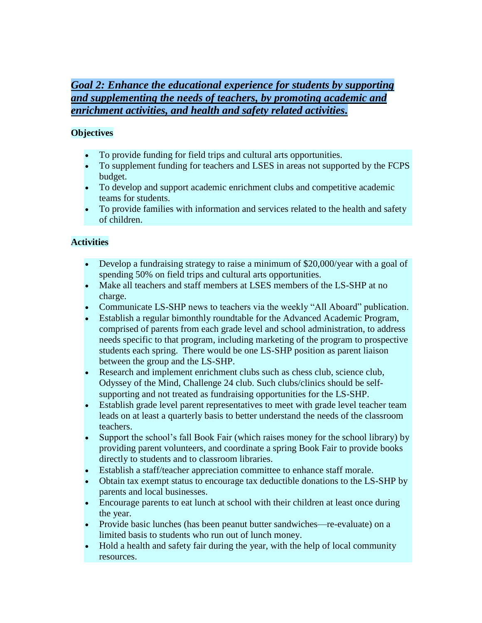# *Goal 2: Enhance the educational experience for students by supporting and supplementing the needs of teachers, by promoting academic and enrichment activities, and health and safety related activities.*

## **Objectives**

- To provide funding for field trips and cultural arts opportunities.
- To supplement funding for teachers and LSES in areas not supported by the FCPS budget.
- To develop and support academic enrichment clubs and competitive academic teams for students.
- To provide families with information and services related to the health and safety of children.

#### **Activities**

- Develop a fundraising strategy to raise a minimum of \$20,000/year with a goal of spending 50% on field trips and cultural arts opportunities.
- Make all teachers and staff members at LSES members of the LS-SHP at no charge.
- Communicate LS-SHP news to teachers via the weekly "All Aboard" publication.
- Establish a regular bimonthly roundtable for the Advanced Academic Program, comprised of parents from each grade level and school administration, to address needs specific to that program, including marketing of the program to prospective students each spring. There would be one LS-SHP position as parent liaison between the group and the LS-SHP.
- Research and implement enrichment clubs such as chess club, science club, Odyssey of the Mind, Challenge 24 club. Such clubs/clinics should be selfsupporting and not treated as fundraising opportunities for the LS-SHP.
- Establish grade level parent representatives to meet with grade level teacher team leads on at least a quarterly basis to better understand the needs of the classroom teachers.
- Support the school's fall Book Fair (which raises money for the school library) by providing parent volunteers, and coordinate a spring Book Fair to provide books directly to students and to classroom libraries.
- Establish a staff/teacher appreciation committee to enhance staff morale.
- Obtain tax exempt status to encourage tax deductible donations to the LS-SHP by parents and local businesses.
- Encourage parents to eat lunch at school with their children at least once during the year.
- Provide basic lunches (has been peanut butter sandwiches—re-evaluate) on a limited basis to students who run out of lunch money.
- Hold a health and safety fair during the year, with the help of local community resources.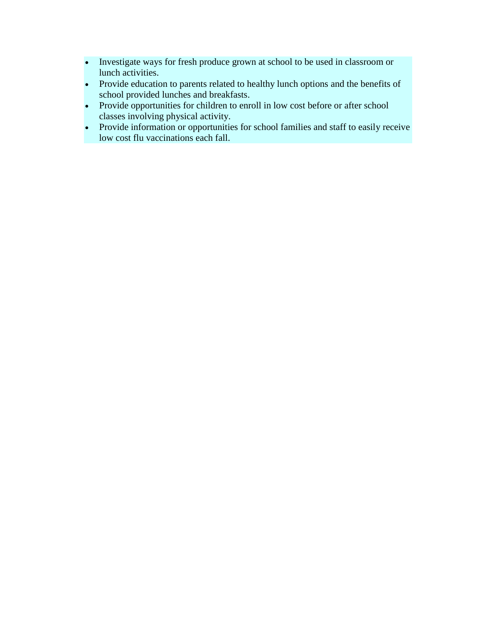- Investigate ways for fresh produce grown at school to be used in classroom or lunch activities.
- Provide education to parents related to healthy lunch options and the benefits of school provided lunches and breakfasts.
- Provide opportunities for children to enroll in low cost before or after school classes involving physical activity.
- Provide information or opportunities for school families and staff to easily receive low cost flu vaccinations each fall.